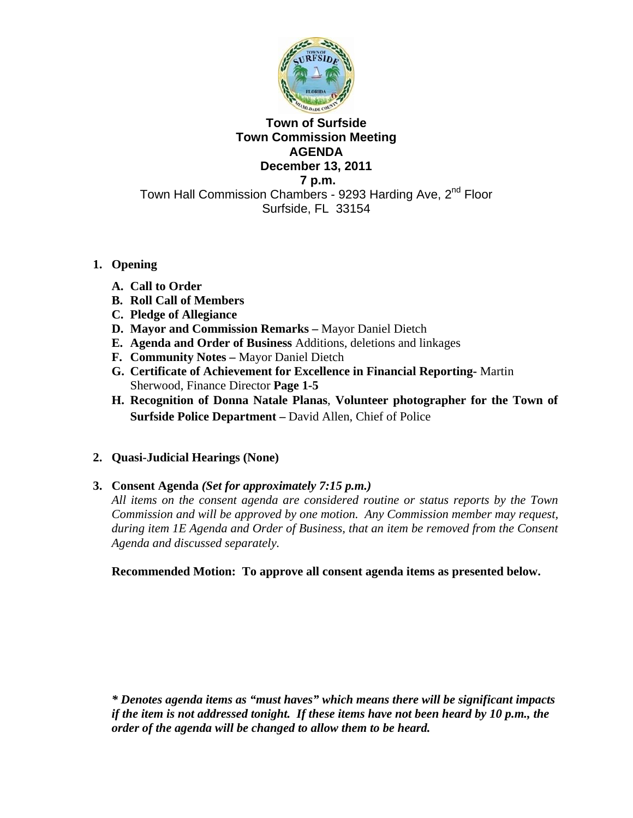

# **Town of Surfside Town Commission Meeting AGENDA December 13, 2011**

 **7 p.m.** 

Town Hall Commission Chambers - 9293 Harding Ave, 2<sup>nd</sup> Floor Surfside, FL 33154

# **1. Opening**

- **A. Call to Order**
- **B. Roll Call of Members**
- **C. Pledge of Allegiance**
- **D. Mayor and Commission Remarks** Mayor Daniel Dietch
- **E. Agenda and Order of Business** Additions, deletions and linkages
- **F. Community Notes** Mayor Daniel Dietch
- **G. Certificate of Achievement for Excellence in Financial Reporting-** Martin Sherwood, Finance Director **Page 1-5**
- **H. Recognition of Donna Natale Planas**, **Volunteer photographer for the Town of Surfside Police Department –** David Allen, Chief of Police

# **2. Quasi-Judicial Hearings (None)**

# **3. Consent Agenda** *(Set for approximately 7:15 p.m.)*

*All items on the consent agenda are considered routine or status reports by the Town Commission and will be approved by one motion. Any Commission member may request, during item 1E Agenda and Order of Business, that an item be removed from the Consent Agenda and discussed separately.* 

**Recommended Motion: To approve all consent agenda items as presented below.** 

*\* Denotes agenda items as "must haves" which means there will be significant impacts if the item is not addressed tonight. If these items have not been heard by 10 p.m., the order of the agenda will be changed to allow them to be heard.*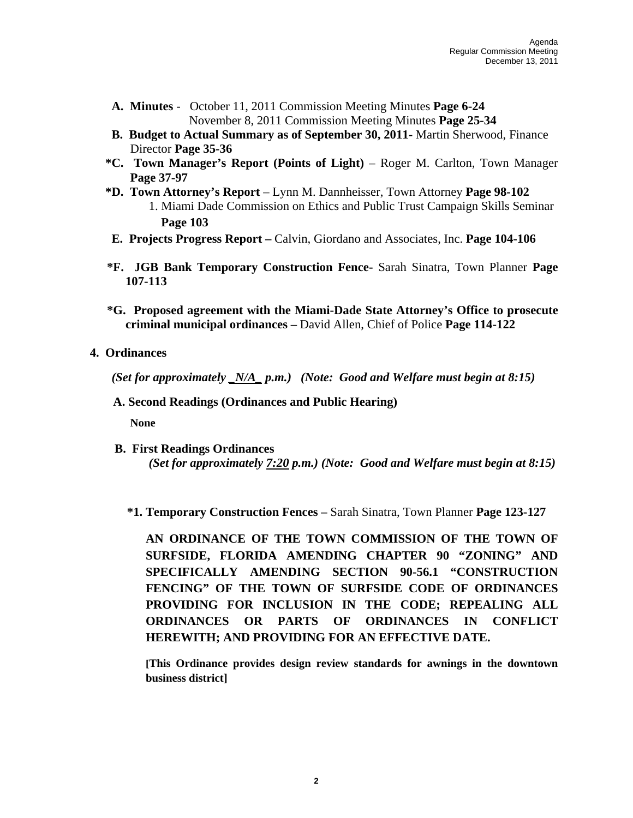- **A. Minutes** October 11, 2011 Commission Meeting Minutes **Page 6-24**  November 8, 2011 Commission Meeting Minutes **Page 25-34**
- **B. Budget to Actual Summary as of September 30, 2011-** Martin Sherwood, Finance Director **Page 35-36**
- **\*C. Town Manager's Report (Points of Light)** Roger M. Carlton, Town Manager **Page 37-97**
- **\*D. Town Attorney's Report** Lynn M. Dannheisser, Town Attorney **Page 98-102**  1. Miami Dade Commission on Ethics and Public Trust Campaign Skills Seminar **Page 103**
- **E. Projects Progress Report** Calvin, Giordano and Associates, Inc. **Page 104-106**
- **\*F. JGB Bank Temporary Construction Fence-** Sarah Sinatra, Town Planner **Page 107-113**
- **\*G. Proposed agreement with the Miami-Dade State Attorney's Office to prosecute criminal municipal ordinances –** David Allen, Chief of Police **Page 114-122**
- **4. Ordinances**

*(Set for approximately \_N/A\_ p.m.) (Note: Good and Welfare must begin at 8:15)* 

 **A. Second Readings (Ordinances and Public Hearing)**

**None** 

- **B. First Readings Ordinances** *(Set for approximately 7:20 p.m.) (Note: Good and Welfare must begin at 8:15)* 
	- **\*1. Temporary Construction Fences** Sarah Sinatra, Town Planner **Page 123-127**

**AN ORDINANCE OF THE TOWN COMMISSION OF THE TOWN OF SURFSIDE, FLORIDA AMENDING CHAPTER 90 "ZONING" AND SPECIFICALLY AMENDING SECTION 90-56.1 "CONSTRUCTION FENCING" OF THE TOWN OF SURFSIDE CODE OF ORDINANCES PROVIDING FOR INCLUSION IN THE CODE; REPEALING ALL ORDINANCES OR PARTS OF ORDINANCES IN CONFLICT HEREWITH; AND PROVIDING FOR AN EFFECTIVE DATE.** 

**[This Ordinance provides design review standards for awnings in the downtown business district]**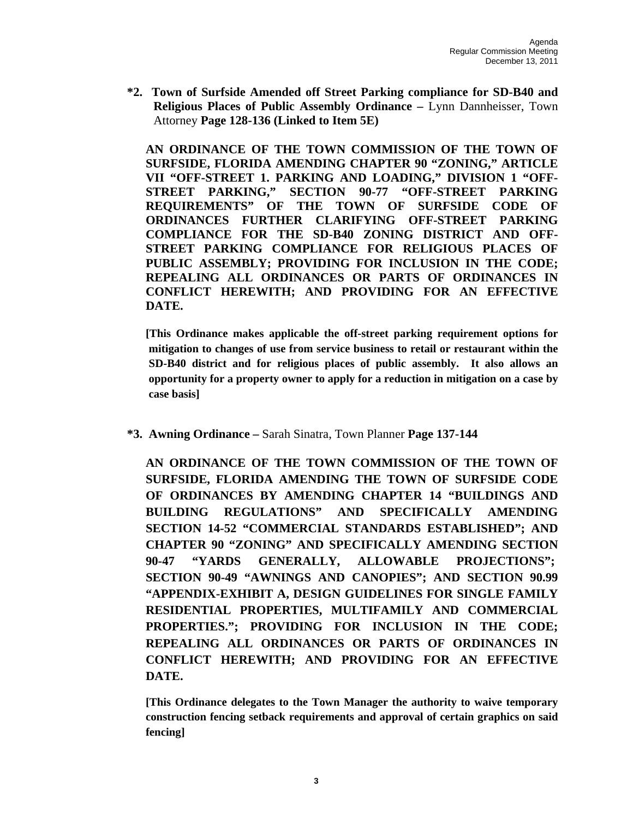**\*2. Town of Surfside Amended off Street Parking compliance for SD-B40 and Religious Places of Public Assembly Ordinance –** Lynn Dannheisser, Town Attorney **Page 128-136 (Linked to Item 5E)**

**AN ORDINANCE OF THE TOWN COMMISSION OF THE TOWN OF SURFSIDE, FLORIDA AMENDING CHAPTER 90 "ZONING," ARTICLE VII "OFF-STREET 1. PARKING AND LOADING," DIVISION 1 "OFF-STREET PARKING," SECTION 90-77 "OFF-STREET PARKING REQUIREMENTS" OF THE TOWN OF SURFSIDE CODE OF ORDINANCES FURTHER CLARIFYING OFF-STREET PARKING COMPLIANCE FOR THE SD-B40 ZONING DISTRICT AND OFF-STREET PARKING COMPLIANCE FOR RELIGIOUS PLACES OF PUBLIC ASSEMBLY; PROVIDING FOR INCLUSION IN THE CODE; REPEALING ALL ORDINANCES OR PARTS OF ORDINANCES IN CONFLICT HEREWITH; AND PROVIDING FOR AN EFFECTIVE DATE.** 

**[This Ordinance makes applicable the off-street parking requirement options for mitigation to changes of use from service business to retail or restaurant within the SD-B40 district and for religious places of public assembly. It also allows an opportunity for a property owner to apply for a reduction in mitigation on a case by case basis]** 

 **\*3. Awning Ordinance –** Sarah Sinatra, Town Planner **Page 137-144** 

**AN ORDINANCE OF THE TOWN COMMISSION OF THE TOWN OF SURFSIDE, FLORIDA AMENDING THE TOWN OF SURFSIDE CODE OF ORDINANCES BY AMENDING CHAPTER 14 "BUILDINGS AND BUILDING REGULATIONS" AND SPECIFICALLY AMENDING SECTION 14-52 "COMMERCIAL STANDARDS ESTABLISHED"; AND CHAPTER 90 "ZONING" AND SPECIFICALLY AMENDING SECTION 90-47 "YARDS GENERALLY, ALLOWABLE PROJECTIONS"; SECTION 90-49 "AWNINGS AND CANOPIES"; AND SECTION 90.99 "APPENDIX-EXHIBIT A, DESIGN GUIDELINES FOR SINGLE FAMILY RESIDENTIAL PROPERTIES, MULTIFAMILY AND COMMERCIAL PROPERTIES."; PROVIDING FOR INCLUSION IN THE CODE; REPEALING ALL ORDINANCES OR PARTS OF ORDINANCES IN CONFLICT HEREWITH; AND PROVIDING FOR AN EFFECTIVE DATE.** 

**[This Ordinance delegates to the Town Manager the authority to waive temporary construction fencing setback requirements and approval of certain graphics on said fencing]**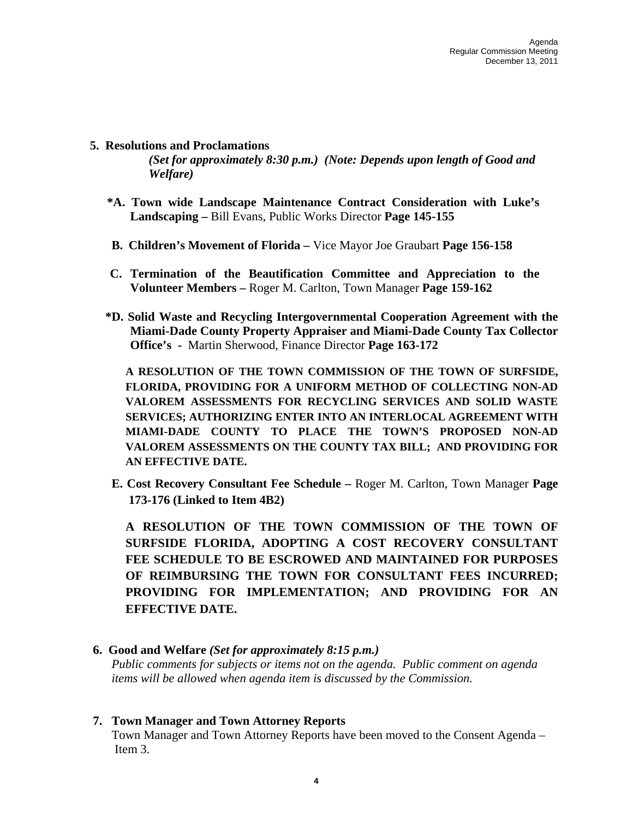#### **5. Resolutions and Proclamations**

*(Set for approximately 8:30 p.m.) (Note: Depends upon length of Good and Welfare)* 

- **\*A. Town wide Landscape Maintenance Contract Consideration with Luke's Landscaping –** Bill Evans, Public Works Director **Page 145-155**
- **B. Children's Movement of Florida** Vice Mayor Joe Graubart **Page 156-158**
- **C. Termination of the Beautification Committee and Appreciation to the Volunteer Members –** Roger M. Carlton, Town Manager **Page 159-162**
- **\*D. Solid Waste and Recycling Intergovernmental Cooperation Agreement with the Miami-Dade County Property Appraiser and Miami-Dade County Tax Collector Office's -** Martin Sherwood, Finance Director **Page 163-172**

**A RESOLUTION OF THE TOWN COMMISSION OF THE TOWN OF SURFSIDE, FLORIDA, PROVIDING FOR A UNIFORM METHOD OF COLLECTING NON-AD VALOREM ASSESSMENTS FOR RECYCLING SERVICES AND SOLID WASTE SERVICES; AUTHORIZING ENTER INTO AN INTERLOCAL AGREEMENT WITH MIAMI-DADE COUNTY TO PLACE THE TOWN'S PROPOSED NON-AD VALOREM ASSESSMENTS ON THE COUNTY TAX BILL; AND PROVIDING FOR AN EFFECTIVE DATE.** 

**E. Cost Recovery Consultant Fee Schedule –** Roger M. Carlton, Town Manager **Page 173-176 (Linked to Item 4B2)** 

**A RESOLUTION OF THE TOWN COMMISSION OF THE TOWN OF SURFSIDE FLORIDA, ADOPTING A COST RECOVERY CONSULTANT FEE SCHEDULE TO BE ESCROWED AND MAINTAINED FOR PURPOSES OF REIMBURSING THE TOWN FOR CONSULTANT FEES INCURRED; PROVIDING FOR IMPLEMENTATION; AND PROVIDING FOR AN EFFECTIVE DATE.** 

#### **6. Good and Welfare** *(Set for approximately 8:15 p.m.)*

*Public comments for subjects or items not on the agenda. Public comment on agenda items will be allowed when agenda item is discussed by the Commission.* 

#### **7. Town Manager and Town Attorney Reports**

Town Manager and Town Attorney Reports have been moved to the Consent Agenda – Item 3.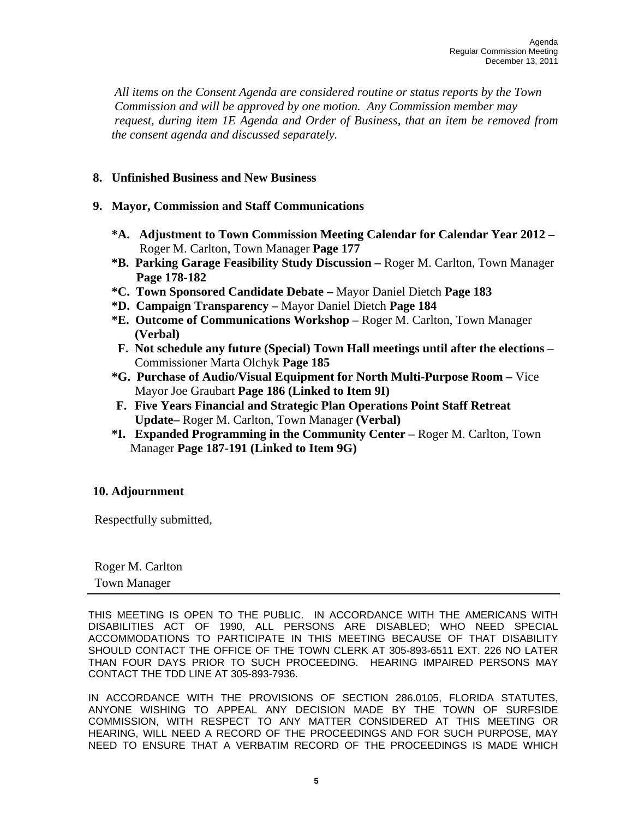*All items on the Consent Agenda are considered routine or status reports by the Town Commission and will be approved by one motion. Any Commission member may request, during item 1E Agenda and Order of Business, that an item be removed from the consent agenda and discussed separately.* 

### **8. Unfinished Business and New Business**

- **9. Mayor, Commission and Staff Communications**
	- **\*A. Adjustment to Town Commission Meeting Calendar for Calendar Year 2012**  Roger M. Carlton, Town Manager **Page 177**
	- **\*B. Parking Garage Feasibility Study Discussion** Roger M. Carlton, Town Manager **Page 178-182**
	- **\*C. Town Sponsored Candidate Debate** Mayor Daniel Dietch **Page 183**
	- **\*D. Campaign Transparency** Mayor Daniel Dietch **Page 184**
	- **\*E. Outcome of Communications Workshop** Roger M. Carlton, Town Manager **(Verbal)**
	- **F. Not schedule any future (Special) Town Hall meetings until after the elections** Commissioner Marta Olchyk **Page 185**
	- **\*G. Purchase of Audio/Visual Equipment for North Multi-Purpose Room** Vice Mayor Joe Graubart **Page 186 (Linked to Item 9I)**
	- **F. Five Years Financial and Strategic Plan Operations Point Staff Retreat Update–** Roger M. Carlton, Town Manager **(Verbal)**
	- **\*I. Expanded Programming in the Community Center** Roger M. Carlton, Town Manager **Page 187-191 (Linked to Item 9G)**

# **10. Adjournment**

Respectfully submitted,

 Roger M. Carlton Town Manager

THIS MEETING IS OPEN TO THE PUBLIC. IN ACCORDANCE WITH THE AMERICANS WITH DISABILITIES ACT OF 1990, ALL PERSONS ARE DISABLED; WHO NEED SPECIAL ACCOMMODATIONS TO PARTICIPATE IN THIS MEETING BECAUSE OF THAT DISABILITY SHOULD CONTACT THE OFFICE OF THE TOWN CLERK AT 305-893-6511 EXT. 226 NO LATER THAN FOUR DAYS PRIOR TO SUCH PROCEEDING. HEARING IMPAIRED PERSONS MAY CONTACT THE TDD LINE AT 305-893-7936.

IN ACCORDANCE WITH THE PROVISIONS OF SECTION 286.0105, FLORIDA STATUTES, ANYONE WISHING TO APPEAL ANY DECISION MADE BY THE TOWN OF SURFSIDE COMMISSION, WITH RESPECT TO ANY MATTER CONSIDERED AT THIS MEETING OR HEARING, WILL NEED A RECORD OF THE PROCEEDINGS AND FOR SUCH PURPOSE, MAY NEED TO ENSURE THAT A VERBATIM RECORD OF THE PROCEEDINGS IS MADE WHICH